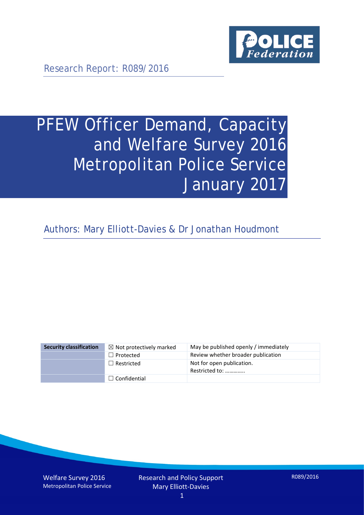

Research Report: R089/2016

# PFEW Officer Demand, Capacity and Welfare Survey 2016 Metropolitan Police Service January 2017

Authors: Mary Elliott-Davies & Dr Jonathan Houdmont

| <b>Security classification</b> | $\boxtimes$ Not protectively marked | May be published openly / immediately       |
|--------------------------------|-------------------------------------|---------------------------------------------|
|                                | $\Box$ Protected                    | Review whether broader publication          |
|                                | $\Box$ Restricted                   | Not for open publication.<br>Restricted to: |
|                                | $\Box$ Confidential                 |                                             |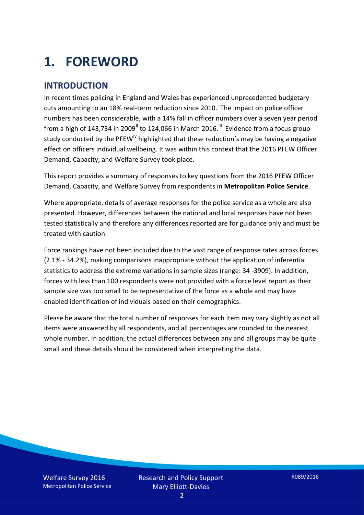# **1. FOREWORD**

#### **INTRODUCTION**

In recent times policing in England and Wales has experienced unprecedented budgetary cuts amount[i](#page-15-0)ng to an 18% real-term reduction since 2010.<sup>1</sup> The impact on police officer numbers has been considerable, with a 14% fall in officer numbers over a seven year period from a high of 143,734 in 2009<sup>[ii](#page-15-1)</sup> to 124,066 in March 2016.<sup>[iii](#page-15-2)</sup> Evidence from a focus group study conducted by the PFEW<sup>[iv](#page-15-3)</sup> highlighted that these reduction's may be having a negative effect on officers individual wellbeing. It was within this context that the 2016 PFEW Officer Demand, Capacity, and Welfare Survey took place.

This report provides a summary of responses to key questions from the 2016 PFEW Officer Demand, Capacity, and Welfare Survey from respondents in **Metropolitan Police Service**.

Where appropriate, details of average responses for the police service as a whole are also presented. However, differences between the national and local responses have not been tested statistically and therefore any differences reported are for guidance only and must be treated with caution.

Force rankings have not been included due to the vast range of response rates across forces (2.1% - 34.2%), making comparisons inappropriate without the application of inferential statistics to address the extreme variations in sample sizes (range: 34 -3909). In addition, forces with less than 100 respondents were not provided with a force level report as their sample size was too small to be representative of the force as a whole and may have enabled identification of individuals based on their demographics.

Please be aware that the total number of responses for each item may vary slightly as not all items were answered by all respondents, and all percentages are rounded to the nearest whole number. In addition, the actual differences between any and all groups may be quite small and these details should be considered when interpreting the data.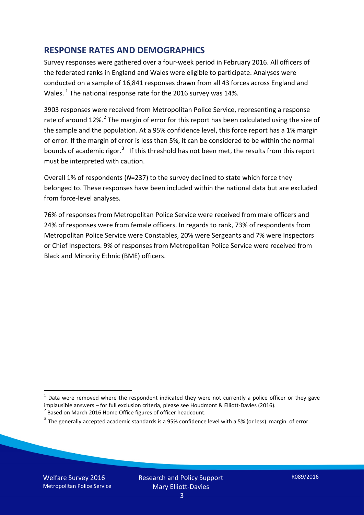#### **RESPONSE RATES AND DEMOGRAPHICS**

Survey responses were gathered over a four-week period in February 2016. All officers of the federated ranks in England and Wales were eligible to participate. Analyses were conducted on a sample of 16,841 responses drawn from all 43 forces across England and Wales.  $^1$  $^1$  The national response rate for the 2016 survey was 14%.

3903 responses were received from Metropolitan Police Service, representing a response rate of around 1[2](#page-2-1)%.<sup>2</sup> The margin of error for this report has been calculated using the size of the sample and the population. At a 95% confidence level, this force report has a 1% margin of error. If the margin of error is less than 5%, it can be considered to be within the normal bounds of academic rigor.<sup>[3](#page-2-2)</sup> If this threshold has not been met, the results from this report must be interpreted with caution.

Overall 1% of respondents (*N*=237) to the survey declined to state which force they belonged to. These responses have been included within the national data but are excluded from force-level analyses.

76% of responses from Metropolitan Police Service were received from male officers and 24% of responses were from female officers. In regards to rank, 73% of respondents from Metropolitan Police Service were Constables, 20% were Sergeants and 7% were Inspectors or Chief Inspectors. 9% of responses from Metropolitan Police Service were received from Black and Minority Ethnic (BME) officers.

-

<span id="page-2-0"></span> $1$  Data were removed where the respondent indicated they were not currently a police officer or they gave implausible answers – for full exclusion criteria, please see Houdmont & Elliott-Davies (2016).<br><sup>2</sup> Based on March 2016 Home Office figures of officer headcount.

<span id="page-2-1"></span>

<span id="page-2-2"></span> $3$  The generally accepted academic standards is a 95% confidence level with a 5% (or less) margin of error.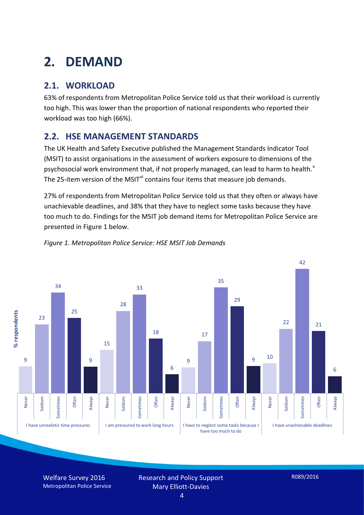# **2. DEMAND**

## **2.1. WORKLOAD**

63% of respondents from Metropolitan Police Service told us that their workload is currently too high. This was lower than the proportion of national respondents who reported their workload was too high (66%).

### **2.2. HSE MANAGEMENT STANDARDS**

The UK Health and Safety Executive published the Management Standards Indicator Tool (MSIT) to assist organisations in the assessment of workers exposure to dimensions of the psychosocial work en[v](#page-15-4)ironment that, if not properly managed, can lead to harm to health.<sup>v</sup> The 25-item version of the MSIT<sup>[vi](#page-15-5)</sup> contains four items that measure job demands.

27% of respondents from Metropolitan Police Service told us that they often or always have unachievable deadlines, and 38% that they have to neglect some tasks because they have too much to do. Findings for the MSIT job demand items for Metropolitan Police Service are presented in Figure 1 below.



#### *Figure 1. Metropolitan Police Service: HSE MSIT Job Demands*

Welfare Survey 2016 Metropolitan Police Service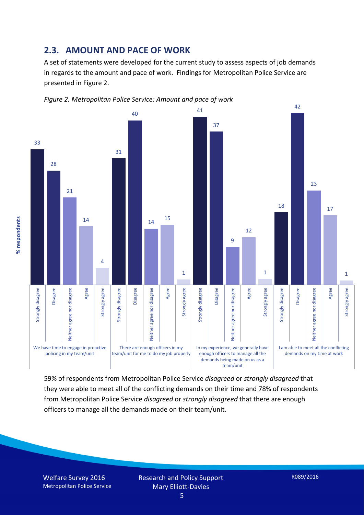#### **2.3. AMOUNT AND PACE OF WORK**

A set of statements were developed for the current study to assess aspects of job demands in regards to the amount and pace of work. Findings for Metropolitan Police Service are presented in Figure 2.





59% of respondents from Metropolitan Police Service *disagreed* or *strongly disagreed* that they were able to meet all of the conflicting demands on their time and 78% of respondents from Metropolitan Police Service *disagreed* or *strongly disagreed* that there are enough officers to manage all the demands made on their team/unit.

Welfare Survey 2016 Metropolitan Police Service

% respondents **% respondents**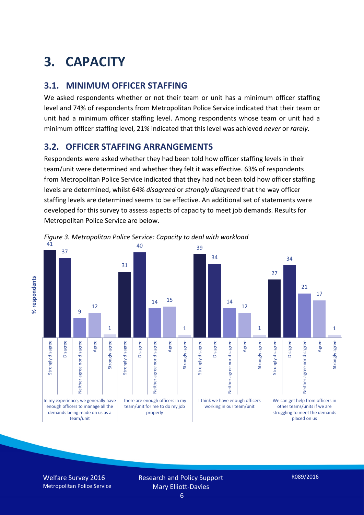# **3. CAPACITY**

#### **3.1. MINIMUM OFFICER STAFFING**

We asked respondents whether or not their team or unit has a minimum officer staffing level and 74% of respondents from Metropolitan Police Service indicated that their team or unit had a minimum officer staffing level. Among respondents whose team or unit had a minimum officer staffing level, 21% indicated that this level was achieved *never* or *rarely*.

#### **3.2. OFFICER STAFFING ARRANGEMENTS**

Respondents were asked whether they had been told how officer staffing levels in their team/unit were determined and whether they felt it was effective. 63% of respondents from Metropolitan Police Service indicated that they had not been told how officer staffing levels are determined, whilst 64% *disagreed* or *strongly disagreed* that the way officer staffing levels are determined seems to be effective. An additional set of statements were developed for this survey to assess aspects of capacity to meet job demands. Results for Metropolitan Police Service are below.



*Figure 3. Metropolitan Police Service: Capacity to deal with workload*

Welfare Survey 2016 Metropolitan Police Service

respondents **% respondents**

 $\bar{\mathbf{x}}$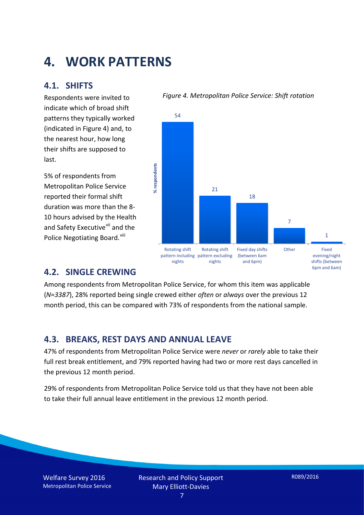## **4. WORK PATTERNS**

#### **4.1. SHIFTS**

Respondents were invited to indicate which of broad shift patterns they typically worked (indicated in Figure 4) and, to the nearest hour, how long their shifts are supposed to last.

5% of respondents from Metropolitan Police Service reported their formal shift duration was more than the 8- 10 hours advised by the Health and Safety Executive<sup>[vii](#page-15-6)</sup> and the Police Negotiating Board.<sup>[viii](#page-15-7)</sup>

#### *Figure 4. Metropolitan Police Service: Shift rotation*



#### **4.2. SINGLE CREWING**

Among respondents from Metropolitan Police Service, for whom this item was applicable (*N*=*3387*), 28% reported being single crewed either *often* or *always* over the previous 12 month period, this can be compared with 73% of respondents from the national sample.

#### **4.3. BREAKS, REST DAYS AND ANNUAL LEAVE**

47% of respondents from Metropolitan Police Service were *never* or *rarely* able to take their full rest break entitlement, and 79% reported having had two or more rest days cancelled in the previous 12 month period.

29% of respondents from Metropolitan Police Service told us that they have not been able to take their full annual leave entitlement in the previous 12 month period.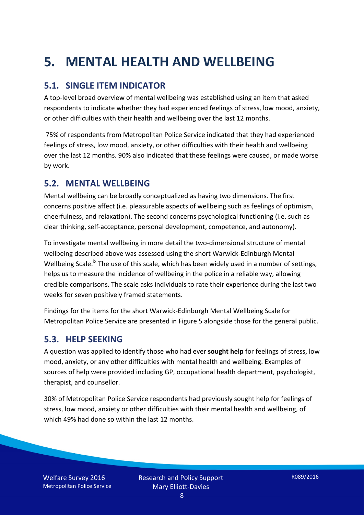# **5. MENTAL HEALTH AND WELLBEING**

### **5.1. SINGLE ITEM INDICATOR**

A top-level broad overview of mental wellbeing was established using an item that asked respondents to indicate whether they had experienced feelings of stress, low mood, anxiety, or other difficulties with their health and wellbeing over the last 12 months.

75% of respondents from Metropolitan Police Service indicated that they had experienced feelings of stress, low mood, anxiety, or other difficulties with their health and wellbeing over the last 12 months. 90% also indicated that these feelings were caused, or made worse by work.

#### **5.2. MENTAL WELLBEING**

Mental wellbeing can be broadly conceptualized as having two dimensions. The first concerns positive affect (i.e. pleasurable aspects of wellbeing such as feelings of optimism, cheerfulness, and relaxation). The second concerns psychological functioning (i.e. such as clear thinking, self-acceptance, personal development, competence, and autonomy).

To investigate mental wellbeing in more detail the two-dimensional structure of mental wellbeing described above was assessed using the short Warwick-Edinburgh Mental Wellbeing Scale.<sup>[ix](#page-15-8)</sup> The use of this scale, which has been widely used in a number of settings, helps us to measure the incidence of wellbeing in the police in a reliable way, allowing credible comparisons. The scale asks individuals to rate their experience during the last two weeks for seven positively framed statements.

Findings for the items for the short Warwick-Edinburgh Mental Wellbeing Scale for Metropolitan Police Service are presented in Figure 5 alongside those for the general public.

#### **5.3. HELP SEEKING**

A question was applied to identify those who had ever **sought help** for feelings of stress, low mood, anxiety, or any other difficulties with mental health and wellbeing. Examples of sources of help were provided including GP, occupational health department, psychologist, therapist, and counsellor.

30% of Metropolitan Police Service respondents had previously sought help for feelings of stress, low mood, anxiety or other difficulties with their mental health and wellbeing, of which 49% had done so within the last 12 months.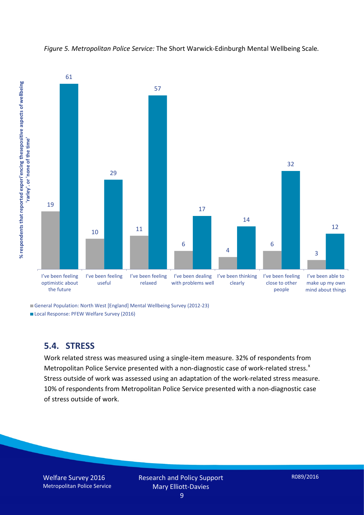

*Figure 5. Metropolitan Police Service:* The Short Warwick-Edinburgh Mental Wellbeing Scale*.*

General Population: North West [England] Mental Wellbeing Survey (2012-23)

Local Response: PFEW Welfare Survey (2016)

#### **5.4. STRESS**

Work related stress was measured using a single-item measure. 32% of respondents from Metropolitan Police Service presented with a non-diagnostic case of work-related stress.<sup>[x](#page-15-9)</sup> Stress outside of work was assessed using an adaptation of the work-related stress measure. 10% of respondents from Metropolitan Police Service presented with a non-diagnostic case of stress outside of work.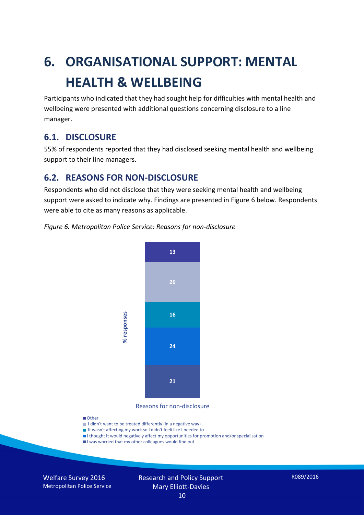# **6. ORGANISATIONAL SUPPORT: MENTAL HEALTH & WELLBEING**

Participants who indicated that they had sought help for difficulties with mental health and wellbeing were presented with additional questions concerning disclosure to a line manager.

#### **6.1. DISCLOSURE**

55% of respondents reported that they had disclosed seeking mental health and wellbeing support to their line managers.

#### **6.2. REASONS FOR NON-DISCLOSURE**

Respondents who did not disclose that they were seeking mental health and wellbeing support were asked to indicate why. Findings are presented in Figure 6 below. Respondents were able to cite as many reasons as applicable.





Reasons for non-disclosure

#### **D**Other

- I didn't want to be treated differently (in a negative way)
- I It wasn't affecting my work so I didn't feeli like I needed to
- I thought it would negatively affect my opportunities for promotion and/or specialisation
- I was worried that my other colleagues would find out

Welfare Survey 2016 Metropolitan Police Service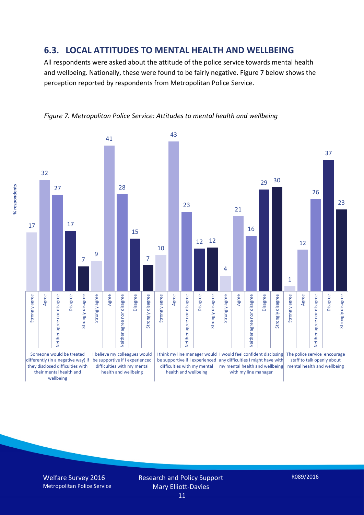#### **6.3. LOCAL ATTITUDES TO MENTAL HEALTH AND WELLBEING**

All respondents were asked about the attitude of the police service towards mental health and wellbeing. Nationally, these were found to be fairly negative. Figure 7 below shows the perception reported by respondents from Metropolitan Police Service.



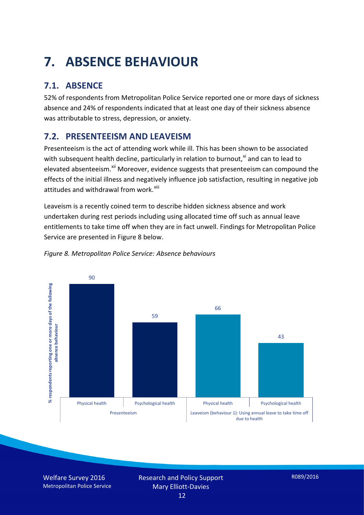# **7. ABSENCE BEHAVIOUR**

## **7.1. ABSENCE**

52% of respondents from Metropolitan Police Service reported one or more days of sickness absence and 24% of respondents indicated that at least one day of their sickness absence was attributable to stress, depression, or anxiety.

## **7.2. PRESENTEEISM AND LEAVEISM**

Presenteeism is the act of attending work while ill. This has been shown to be associated with subsequent health decline, particularly in relation to burnout, $x_i$  and can to lead to elevated absenteeism.<sup>[xii](#page-16-1)</sup> Moreover, evidence suggests that presenteeism can compound the effects of the initial illness and negatively influence job satisfaction, resulting in negative job attitudes and withdrawal from work.<sup>[xiii](#page-16-2)</sup>

Leaveism is a recently coined term to describe hidden sickness absence and work undertaken during rest periods including using allocated time off such as annual leave entitlements to take time off when they are in fact unwell. Findings for Metropolitan Police Service are presented in Figure 8 below.



#### *Figure 8. Metropolitan Police Service: Absence behaviours*

Welfare Survey 2016 Metropolitan Police Service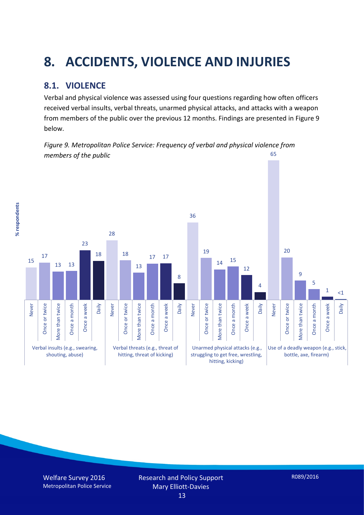# **8. ACCIDENTS, VIOLENCE AND INJURIES**

## **8.1. VIOLENCE**

% respondents **% respondents** Verbal and physical violence was assessed using four questions regarding how often officers received verbal insults, verbal threats, unarmed physical attacks, and attacks with a weapon from members of the public over the previous 12 months. Findings are presented in Figure 9 below.

*Figure 9. Metropolitan Police Service: Frequency of verbal and physical violence from members of the public* 65

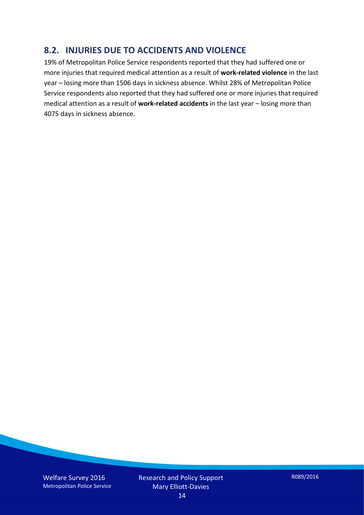#### **8.2. INJURIES DUE TO ACCIDENTS AND VIOLENCE**

19% of Metropolitan Police Service respondents reported that they had suffered one or more injuries that required medical attention as a result of **work-related violence** in the last year – losing more than 1506 days in sickness absence. Whilst 28% of Metropolitan Police Service respondents also reported that they had suffered one or more injuries that required medical attention as a result of **work-related accidents** in the last year – losing more than 4075 days in sickness absence.

Welfare Survey 2016 Metropolitan Police Service Research and Policy Support Mary Elliott-Davies

R089/2016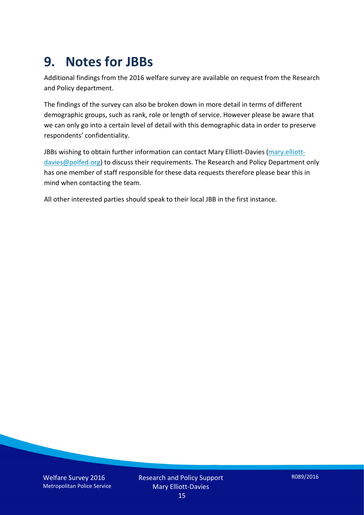## **9. Notes for JBBs**

Additional findings from the 2016 welfare survey are available on request from the Research and Policy department.

The findings of the survey can also be broken down in more detail in terms of different demographic groups, such as rank, role or length of service. However please be aware that we can only go into a certain level of detail with this demographic data in order to preserve respondents' confidentiality.

JBBs wishing to obtain further information can contact Mary Elliott-Davies [\(mary.elliott](mailto:mary.elliott-davies@polfed.org)[davies@polfed.org\)](mailto:mary.elliott-davies@polfed.org) to discuss their requirements. The Research and Policy Department only has one member of staff responsible for these data requests therefore please bear this in mind when contacting the team.

All other interested parties should speak to their local JBB in the first instance.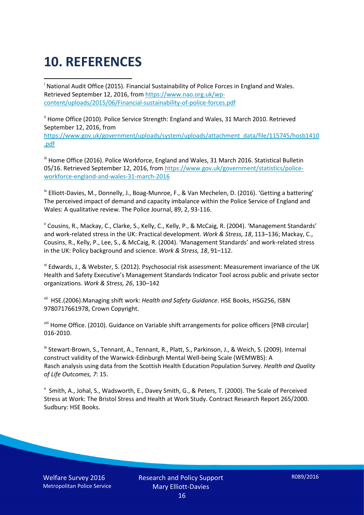# **10. REFERENCES**

<span id="page-15-0"></span>i National Audit Office (2015). Financial Sustainability of Police Forces in England and Wales. Retrieved September 12, 2016, fro[m https://www.nao.org.uk/wp](https://www.nao.org.uk/wp-content/uploads/2015/06/Financial-sustainability-of-police-forces.pdf)[content/uploads/2015/06/Financial-sustainability-of-police-forces.pdf](https://www.nao.org.uk/wp-content/uploads/2015/06/Financial-sustainability-of-police-forces.pdf)

<span id="page-15-1"></span><sup>ii</sup> Home Office (2010). Police Service Strength: England and Wales, 31 March 2010. Retrieved September 12, 2016, from [https://www.gov.uk/government/uploads/system/uploads/attachment\\_data/file/115745/hosb1410](https://www.gov.uk/government/uploads/system/uploads/attachment_data/file/115745/hosb1410.pdf) [.pdf](https://www.gov.uk/government/uploads/system/uploads/attachment_data/file/115745/hosb1410.pdf)

<span id="page-15-2"></span><sup>iii</sup> Home Office (2016). Police Workforce, England and Wales, 31 March 2016. Statistical Bulletin 05/16. Retrieved September 12, 2016, fro[m https://www.gov.uk/government/statistics/police](https://www.gov.uk/government/statistics/police-workforce-england-and-wales-31-march-2016)[workforce-england-and-wales-31-march-2016](https://www.gov.uk/government/statistics/police-workforce-england-and-wales-31-march-2016)

<span id="page-15-3"></span><sup>iv</sup> Elliott-Davies, M., Donnelly, J., Boag-Munroe, F., & Van Mechelen, D. (2016). 'Getting a battering' The perceived impact of demand and capacity imbalance within the Police Service of England and Wales: A qualitative review. The Police Journal, 89, 2, 93-116.

<span id="page-15-4"></span><sup>v</sup> Cousins, R., Mackay, C., Clarke, S., Kelly, C., Kelly, P., & McCaig, R. (2004). 'Management Standards' and work-related stress in the UK: Practical development. *Work & Stress, 18*, 113–136; Mackay, C., Cousins, R., Kelly, P., Lee, S., & McCaig, R. (2004). 'Management Standards' and work-related stress in the UK: Policy background and science. *Work & Stress, 18*, 91–112.

<span id="page-15-5"></span>vi Edwards, J., & Webster, S. (2012). Psychosocial risk assessment: Measurement invariance of the UK Health and Safety Executive's Management Standards Indicator Tool across public and private sector organizations. *Work & Stress, 26*, 130–142

<span id="page-15-6"></span>vii HSE.(2006).Managing shift work: *Health and Safety Guidance*. HSE Books, HSG256, ISBN 9780717661978, Crown Copyright.

<span id="page-15-7"></span>viii Home Office. (2010). Guidance on Variable shift arrangements for police officers [PNB circular] 016-2010.

<span id="page-15-8"></span><sup>ix</sup> Stewart-Brown, S., Tennant, A., Tennant, R., Platt, S., Parkinson, J., & Weich, S. (2009). Internal construct validity of the Warwick-Edinburgh Mental Well-being Scale (WEMWBS): A Rasch analysis using data from the Scottish Health Education Population Survey. *Health and Quality of Life Outcomes, 7*: 15.

<span id="page-15-9"></span>x Smith, A., Johal, S., Wadsworth, E., Davey Smith, G., & Peters, T. (2000). The Scale of Perceived Stress at Work: The Bristol Stress and Health at Work Study. Contract Research Report 265/2000. Sudbury: HSE Books.